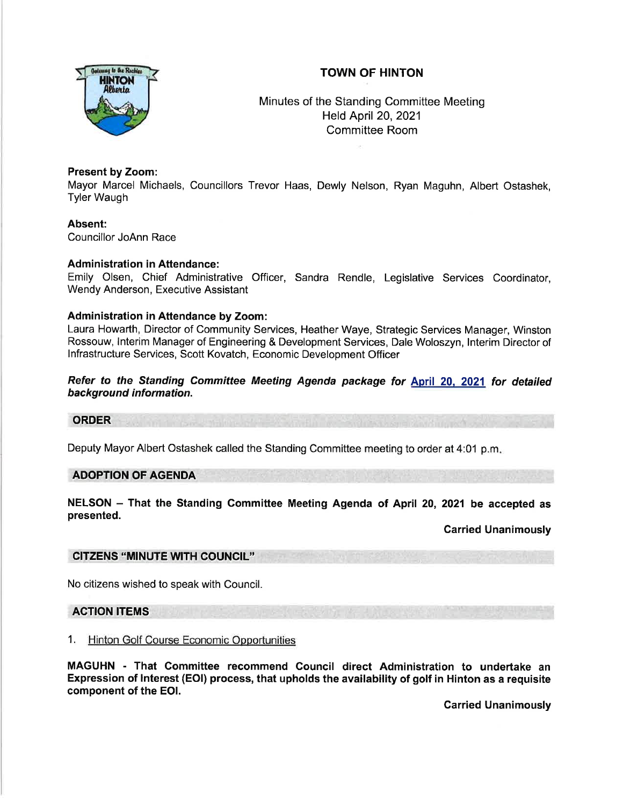# TOWN OF HINTON



Minutes of the Standing Committee Meeting Held April 20,2021 Committee Room

# Present by Zoom:

Mayor Marcel Michaels, Councillors Trevor Haas, Dewly Nelson, Ryan Maguhn, Albert Ostashek, Tyler Waugh

Absent:

Councillor JoAnn Race

# Administration in Attendance:

Emily Olsen, Chief Administrative Officer, Sandra Rendle, Legislative Services Coordinator, Wendy Anderson, Executive Assistant

# Administration in Attendance by Zoom:

Laura Howarth, Director of Community Services, Heather Waye, Strategic Services Manager, Winston Rossouw, lnterim Manager of Engineering & Development Services, Dale Woloszyn, lnterim Director of lnfrastructure Services, Scott Kovatch, Economic Development Officer

Refer to the Standing Committee Meeting Agenda package for April 20, 2021 for detailed background information.

#### ORDER

Deputy Mayor Albert Ostashek called the Standing Committee meeting to order at 4:01 p.m

# ADOPTION OF AGENDA

NELSON - That the Standing Committee Meeting Agenda of April 20, 2021 be accepted as presented.

Garried Unanimously

# CITZENS 'MINUTE WTH COUNCIL"

No citizens wished to speak with Council.

# ACTION ITEMS

# 1. Hinton Golf Course Economic Opportunities

MAGUHN - That Committee recommend Gouncil direct Administration to undertake an Expression of lnterest (EOl) process, that upholds the availability of golf in Hinton as a requisite component of the EOl.

Garried Unanimously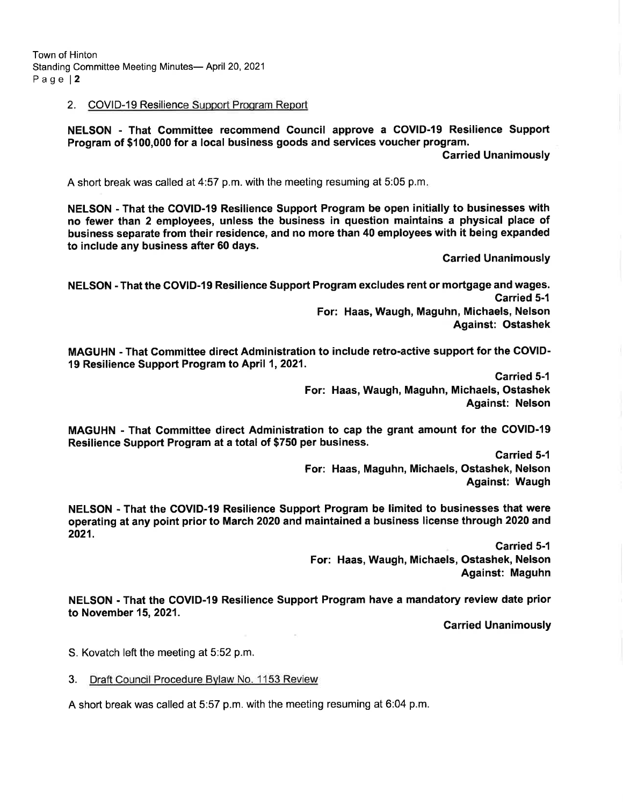Town of Hinton Standing Committee Meeting Minutes- April 20, 2021 Page l2

### 2. COVID-19 Resilience Support Proqram Report

NELSON - That Gommittee recommend Council approve a COVID-19 Resilience Support Program of \$100,000 for a local business goods and services voucher program.

Garried Unanimously

A short break was called at 4:57 p.m. with the meeting resuming at 5:05 p.m.

NELSON - That the GOVID-19 Resilience Support Program be open initially to businesses with no fewer than 2 employees, unless the business in question maintains a physical place of business separate from their residence, and no more than 40 employees with it being expanded to include any business after 60 days.

Garried Unanimously

NELSON - That the COVID-I9 Resilience Support Program excludes rent or mortgage and wages. Garried 5-1 For: Haas, Waugh, Maguhn, Michaels, Nelson Against: Ostashek

MAGUHN - That Gommittee direct Administration to include retro-active support for the COVID-19 Resilience Support Program to April 1,2021.

> Carried 5-1 For: Haas, Waugh, Maguhn, Michaels, Ostashek Against: Nelson

MAGUHN - That Committee direct Administration to cap the grant amount for the COVID-19 Resilience Support Program at a total of \$750 per business.

> Garried 5-l For: Haas, Maguhn, Michaels, Ostashek, Nelson Against: Waugh

NELSON - That the COVID-I9 Resilience Support Program be limited to businesses that were operating at any point prior to March 2020 and maintained a business license through 2020 and 2021.

> **Carried 5-1** For: Haas, Waugh, Michaels, Ostashek, Nelson Against: Maguhn

NELSON - That the COVID-19 Resilience Support Program have a mandatory review date prior to November 15,2021.

Garried Unanimously

S. Kovatch left the meeting at 5:52 p.m.

3. Draft Council Procedure Bvlaw No. 1153 Review

A short break was called at 5:57 p.m. with the meeting resuming at 6:04 p.m.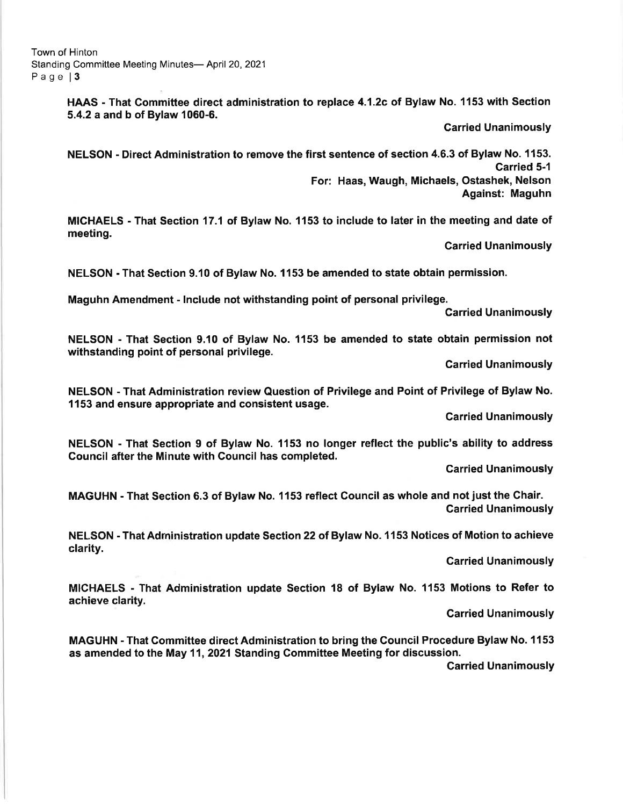meeting.

HAAS - That Committee direct administration to replace 4.1.2c of Bylaw No. 1153 with Section 5.4.2 a and b of Bylaw 1060-6.

Garried Unanimously

NELSON - Direct Administration to remove the first sentence of section 4.6.3 of Bylaw No. 1153. Carried 5-1 For: Haas, Waugh, Michaels, Ostashek, Nelson Against: Maguhn

MICHAELS - That Section 17.1 ot Bylaw No. 1153 to include to later in the meeting and date of

Carried Unanimously

NELSON - That Section 9.10 of Bylaw No. 1153 be amended to state obtain permission.

Maguhn Amendment - lnclude not withstanding point of personal privilege. Carried Unanimously

NELSON - That Section 9.10 of Bylaw No. 1153 be amended to state obtain permission not withstanding point of personal privilege.

Carried Unanimously

NELSON - That Administration review Question of Privilege and Point of Privilege of Bylaw No. 1153 and ensure appropriate and consistent usage.

Carried Unanimously

NELSON - That Section 9 of Bylaw No. 1153 no longer reflect the public's ability to address Council after the Minute with Gouncil has completed.

Garried Unanimously

MAGUHN - That Section 6.3 of Bylaw No. 1153 reflect Gouncil as whole and not just the Ghair. Carried Unanimously

NELSON - That Adrninistration update Section 22 of Bylaw No. 1153 Notices of Motion to achieve clarity.

Garried Unanimously

MICHAELS - That Administration update Section 18 of Bylaw No. 1153 Motions to Refer to achieve clarity.

Garried Unanimously

MAGUHN - That Committee direct Administration to bring the Council Procedure Bylaw No. 1153 as amended to the May 11, 2021 Standing Committee Meeting for discussion. Garried Unanimously